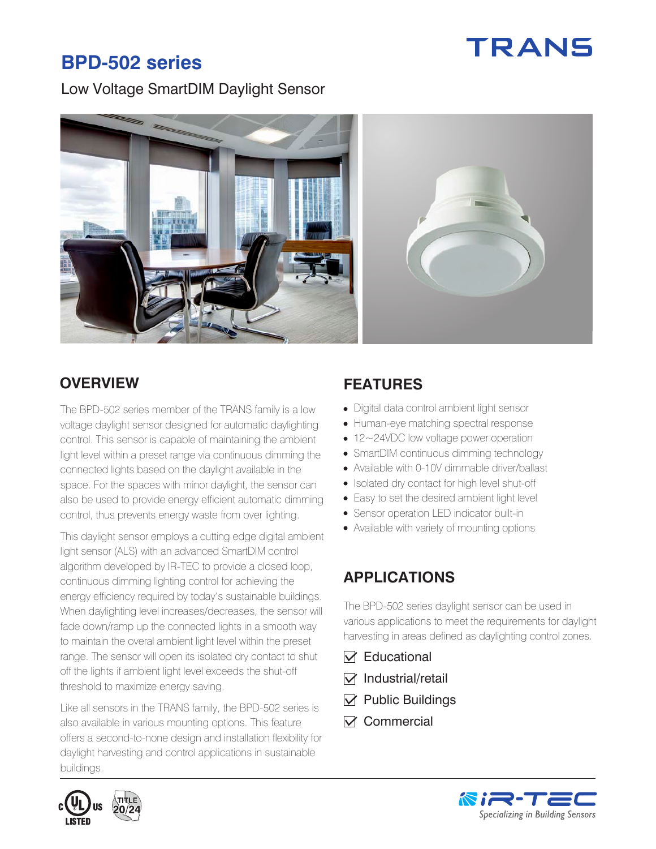# TRANS

# **BPD-502 series**

Low Voltage SmartDIM Daylight Sensor



The BPD-502 series member of the TRANS family is a low voltage daylight sensor designed for automatic daylighting control. This sensor is capable of maintaining the ambient light level within a preset range via continuous dimming the connected lights based on the daylight available in the space. For the spaces with minor daylight, the sensor can also be used to provide energy efficient automatic dimming control, thus prevents energy waste from over lighting.

This daylight sensor employs a cutting edge digital ambient light sensor (ALS) with an advanced SmartDIM control algorithm developed by IR-TEC to provide a closed loop, continuous dimming lighting control for achieving the energy efficiency required by today's sustainable buildings. When daylighting level increases/decreases, the sensor will fade down/ramp up the connected lights in a smooth way to maintain the overal ambient light level within the preset range. The sensor will open its isolated dry contact to shut off the lights if ambient light level exceeds the shut-off threshold to maximize energy saving.

Like all sensors in the TRANS family, the BPD-502 series is also available in various mounting options. This feature offers a second-to-none design and installation flexibility for daylight harvesting and control applications in sustainable buildings.



- Digital data control ambient light sensor
- Human-eye matching spectral response
- 12~24VDC low voltage power operation
- SmartDIM continuous dimming technology
- Available with 0-10V dimmable driver/ballast
- Isolated dry contact for high level shut-off
- Easy to set the desired ambient light level
- Sensor operation LED indicator built-in
- Available with variety of mounting options

# **APPLICATIONS**

The BPD-502 series daylight sensor can be used in various applications to meet the requirements for daylight harvesting in areas defined as daylighting control zones.

- $\nabla$  Educational
- $\nabla$  Industrial/retail
- $\nabla$  Public Buildings
- $\nabla$  Commercial